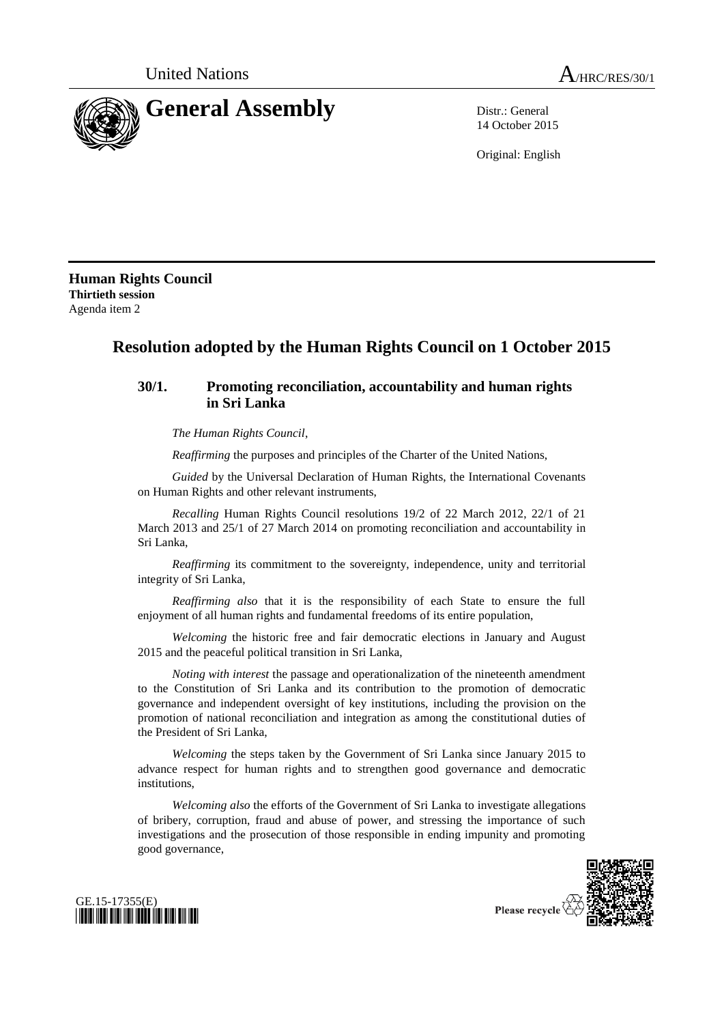

14 October 2015

Original: English

**Human Rights Council Thirtieth session** Agenda item 2

## **Resolution adopted by the Human Rights Council on 1 October 2015**

## **30/1. Promoting reconciliation, accountability and human rights in Sri Lanka**

*The Human Rights Council*,

*Reaffirming* the purposes and principles of the Charter of the United Nations,

*Guided* by the Universal Declaration of Human Rights, the International Covenants on Human Rights and other relevant instruments,

*Recalling* Human Rights Council resolutions 19/2 of 22 March 2012, 22/1 of 21 March 2013 and 25/1 of 27 March 2014 on promoting reconciliation and accountability in Sri Lanka,

*Reaffirming* its commitment to the sovereignty, independence, unity and territorial integrity of Sri Lanka,

*Reaffirming also* that it is the responsibility of each State to ensure the full enjoyment of all human rights and fundamental freedoms of its entire population,

*Welcoming* the historic free and fair democratic elections in January and August 2015 and the peaceful political transition in Sri Lanka,

*Noting with interest* the passage and operationalization of the nineteenth amendment to the Constitution of Sri Lanka and its contribution to the promotion of democratic governance and independent oversight of key institutions, including the provision on the promotion of national reconciliation and integration as among the constitutional duties of the President of Sri Lanka,

*Welcoming* the steps taken by the Government of Sri Lanka since January 2015 to advance respect for human rights and to strengthen good governance and democratic institutions,

*Welcoming also* the efforts of the Government of Sri Lanka to investigate allegations of bribery, corruption, fraud and abuse of power, and stressing the importance of such investigations and the prosecution of those responsible in ending impunity and promoting good governance,



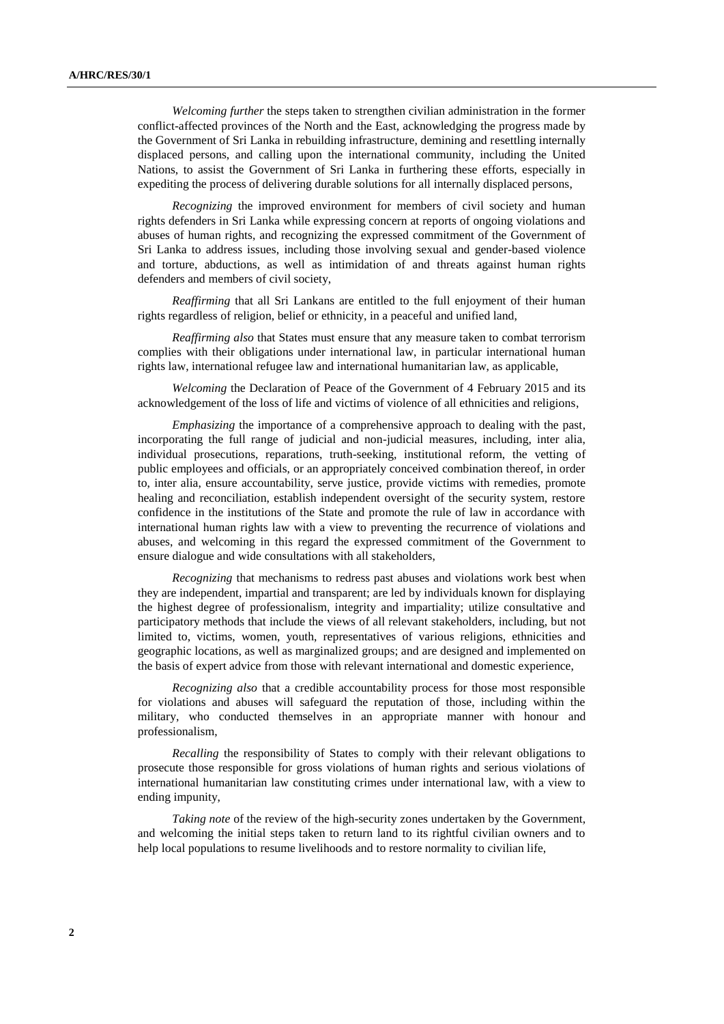*Welcoming further* the steps taken to strengthen civilian administration in the former conflict-affected provinces of the North and the East, acknowledging the progress made by the Government of Sri Lanka in rebuilding infrastructure, demining and resettling internally displaced persons, and calling upon the international community, including the United Nations, to assist the Government of Sri Lanka in furthering these efforts, especially in expediting the process of delivering durable solutions for all internally displaced persons,

*Recognizing* the improved environment for members of civil society and human rights defenders in Sri Lanka while expressing concern at reports of ongoing violations and abuses of human rights, and recognizing the expressed commitment of the Government of Sri Lanka to address issues, including those involving sexual and gender-based violence and torture, abductions, as well as intimidation of and threats against human rights defenders and members of civil society,

*Reaffirming* that all Sri Lankans are entitled to the full enjoyment of their human rights regardless of religion, belief or ethnicity, in a peaceful and unified land,

*Reaffirming also* that States must ensure that any measure taken to combat terrorism complies with their obligations under international law, in particular international human rights law, international refugee law and international humanitarian law, as applicable,

*Welcoming* the Declaration of Peace of the Government of 4 February 2015 and its acknowledgement of the loss of life and victims of violence of all ethnicities and religions,

*Emphasizing* the importance of a comprehensive approach to dealing with the past, incorporating the full range of judicial and non-judicial measures, including, inter alia, individual prosecutions, reparations, truth-seeking, institutional reform, the vetting of public employees and officials, or an appropriately conceived combination thereof, in order to, inter alia, ensure accountability, serve justice, provide victims with remedies, promote healing and reconciliation, establish independent oversight of the security system, restore confidence in the institutions of the State and promote the rule of law in accordance with international human rights law with a view to preventing the recurrence of violations and abuses, and welcoming in this regard the expressed commitment of the Government to ensure dialogue and wide consultations with all stakeholders,

*Recognizing* that mechanisms to redress past abuses and violations work best when they are independent, impartial and transparent; are led by individuals known for displaying the highest degree of professionalism, integrity and impartiality; utilize consultative and participatory methods that include the views of all relevant stakeholders, including, but not limited to, victims, women, youth, representatives of various religions, ethnicities and geographic locations, as well as marginalized groups; and are designed and implemented on the basis of expert advice from those with relevant international and domestic experience,

*Recognizing also* that a credible accountability process for those most responsible for violations and abuses will safeguard the reputation of those, including within the military, who conducted themselves in an appropriate manner with honour and professionalism,

*Recalling* the responsibility of States to comply with their relevant obligations to prosecute those responsible for gross violations of human rights and serious violations of international humanitarian law constituting crimes under international law, with a view to ending impunity,

*Taking note* of the review of the high-security zones undertaken by the Government, and welcoming the initial steps taken to return land to its rightful civilian owners and to help local populations to resume livelihoods and to restore normality to civilian life,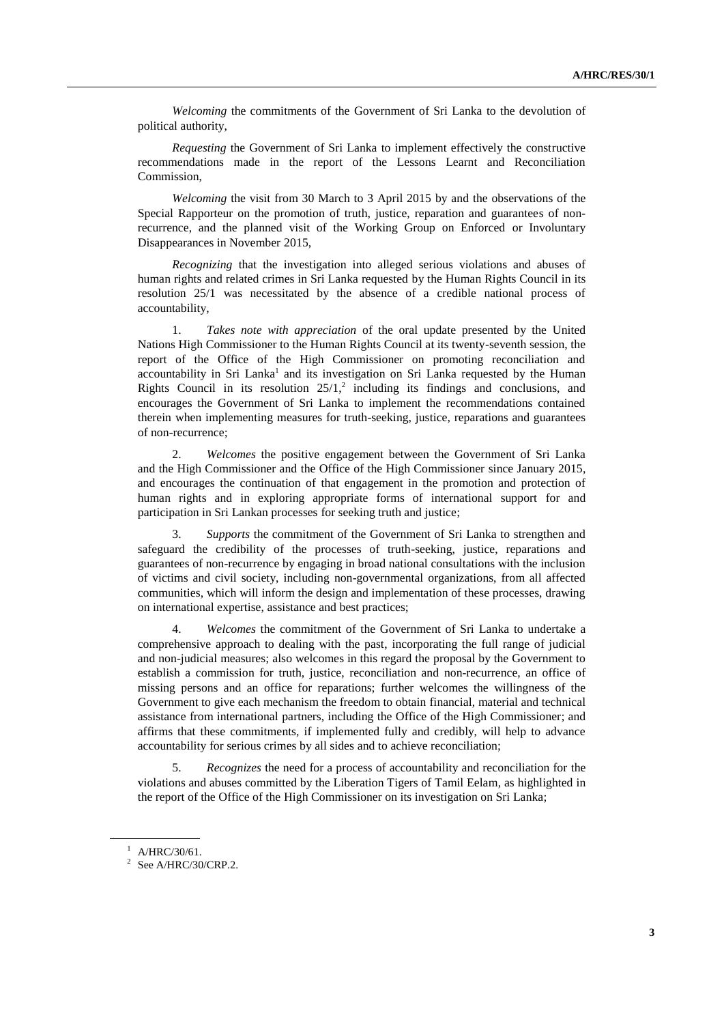*Welcoming* the commitments of the Government of Sri Lanka to the devolution of political authority,

*Requesting* the Government of Sri Lanka to implement effectively the constructive recommendations made in the report of the Lessons Learnt and Reconciliation Commission,

*Welcoming* the visit from 30 March to 3 April 2015 by and the observations of the Special Rapporteur on the promotion of truth, justice, reparation and guarantees of nonrecurrence, and the planned visit of the Working Group on Enforced or Involuntary Disappearances in November 2015,

*Recognizing* that the investigation into alleged serious violations and abuses of human rights and related crimes in Sri Lanka requested by the Human Rights Council in its resolution 25/1 was necessitated by the absence of a credible national process of accountability,

1. *Takes note with appreciation* of the oral update presented by the United Nations High Commissioner to the Human Rights Council at its twenty-seventh session, the report of the Office of the High Commissioner on promoting reconciliation and accountability in Sri Lanka<sup>1</sup> and its investigation on Sri Lanka requested by the Human Rights Council in its resolution  $25/1$ ,<sup>2</sup> including its findings and conclusions, and encourages the Government of Sri Lanka to implement the recommendations contained therein when implementing measures for truth-seeking, justice, reparations and guarantees of non-recurrence;

2. *Welcomes* the positive engagement between the Government of Sri Lanka and the High Commissioner and the Office of the High Commissioner since January 2015, and encourages the continuation of that engagement in the promotion and protection of human rights and in exploring appropriate forms of international support for and participation in Sri Lankan processes for seeking truth and justice;

3. *Supports* the commitment of the Government of Sri Lanka to strengthen and safeguard the credibility of the processes of truth-seeking, justice, reparations and guarantees of non-recurrence by engaging in broad national consultations with the inclusion of victims and civil society, including non-governmental organizations, from all affected communities, which will inform the design and implementation of these processes, drawing on international expertise, assistance and best practices;

4. *Welcomes* the commitment of the Government of Sri Lanka to undertake a comprehensive approach to dealing with the past, incorporating the full range of judicial and non-judicial measures; also welcomes in this regard the proposal by the Government to establish a commission for truth, justice, reconciliation and non-recurrence, an office of missing persons and an office for reparations; further welcomes the willingness of the Government to give each mechanism the freedom to obtain financial, material and technical assistance from international partners, including the Office of the High Commissioner; and affirms that these commitments, if implemented fully and credibly, will help to advance accountability for serious crimes by all sides and to achieve reconciliation;

5. *Recognizes* the need for a process of accountability and reconciliation for the violations and abuses committed by the Liberation Tigers of Tamil Eelam, as highlighted in the report of the Office of the High Commissioner on its investigation on Sri Lanka;

 $1$  A/HRC/30/61.

 $2$  See A/HRC/30/CRP.2.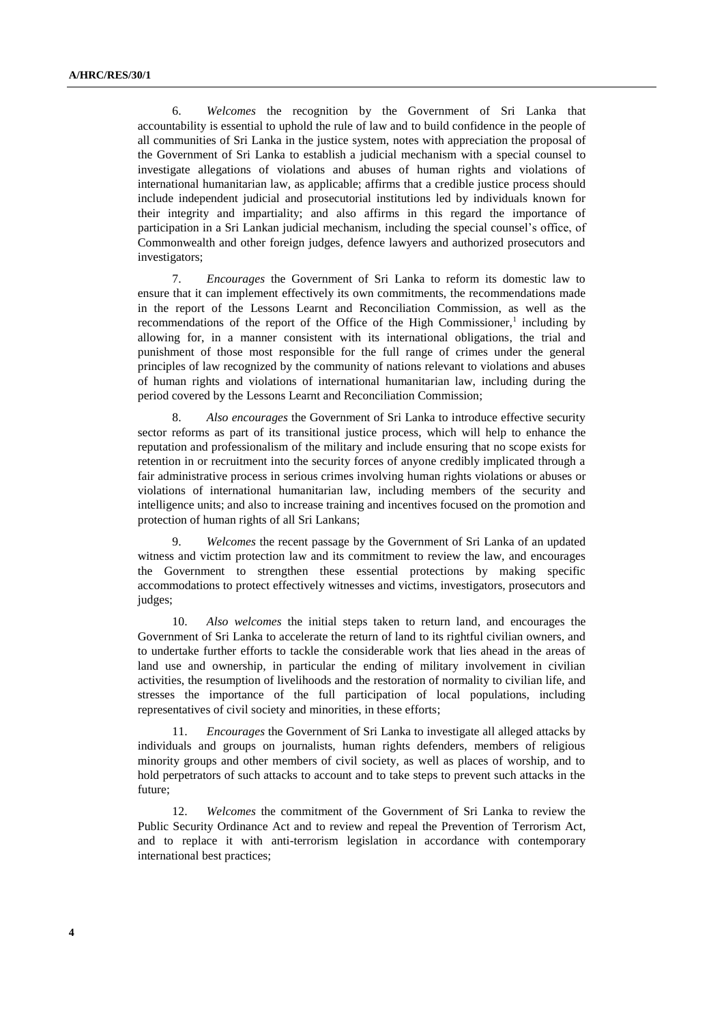6. *Welcomes* the recognition by the Government of Sri Lanka that accountability is essential to uphold the rule of law and to build confidence in the people of all communities of Sri Lanka in the justice system, notes with appreciation the proposal of the Government of Sri Lanka to establish a judicial mechanism with a special counsel to investigate allegations of violations and abuses of human rights and violations of international humanitarian law, as applicable; affirms that a credible justice process should include independent judicial and prosecutorial institutions led by individuals known for their integrity and impartiality; and also affirms in this regard the importance of participation in a Sri Lankan judicial mechanism, including the special counsel's office, of Commonwealth and other foreign judges, defence lawyers and authorized prosecutors and investigators;

7. *Encourages* the Government of Sri Lanka to reform its domestic law to ensure that it can implement effectively its own commitments, the recommendations made in the report of the Lessons Learnt and Reconciliation Commission, as well as the recommendations of the report of the Office of the High Commissioner, $<sup>1</sup>$  including by</sup> allowing for, in a manner consistent with its international obligations, the trial and punishment of those most responsible for the full range of crimes under the general principles of law recognized by the community of nations relevant to violations and abuses of human rights and violations of international humanitarian law, including during the period covered by the Lessons Learnt and Reconciliation Commission;

8. *Also encourages* the Government of Sri Lanka to introduce effective security sector reforms as part of its transitional justice process, which will help to enhance the reputation and professionalism of the military and include ensuring that no scope exists for retention in or recruitment into the security forces of anyone credibly implicated through a fair administrative process in serious crimes involving human rights violations or abuses or violations of international humanitarian law, including members of the security and intelligence units; and also to increase training and incentives focused on the promotion and protection of human rights of all Sri Lankans;

9. *Welcomes* the recent passage by the Government of Sri Lanka of an updated witness and victim protection law and its commitment to review the law, and encourages the Government to strengthen these essential protections by making specific accommodations to protect effectively witnesses and victims, investigators, prosecutors and judges;

10. *Also welcomes* the initial steps taken to return land, and encourages the Government of Sri Lanka to accelerate the return of land to its rightful civilian owners, and to undertake further efforts to tackle the considerable work that lies ahead in the areas of land use and ownership, in particular the ending of military involvement in civilian activities, the resumption of livelihoods and the restoration of normality to civilian life, and stresses the importance of the full participation of local populations, including representatives of civil society and minorities, in these efforts;

11. *Encourages* the Government of Sri Lanka to investigate all alleged attacks by individuals and groups on journalists, human rights defenders, members of religious minority groups and other members of civil society, as well as places of worship, and to hold perpetrators of such attacks to account and to take steps to prevent such attacks in the future;

12. *Welcomes* the commitment of the Government of Sri Lanka to review the Public Security Ordinance Act and to review and repeal the Prevention of Terrorism Act, and to replace it with anti-terrorism legislation in accordance with contemporary international best practices;